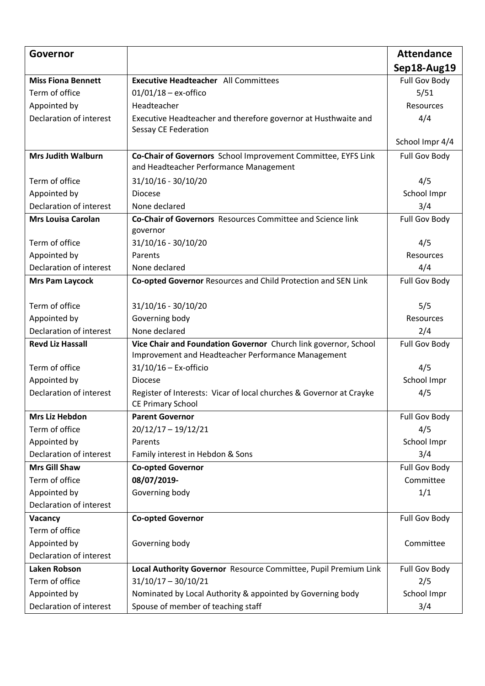| Governor                  |                                                                     | <b>Attendance</b>    |
|---------------------------|---------------------------------------------------------------------|----------------------|
|                           |                                                                     | Sep18-Aug19          |
| <b>Miss Fiona Bennett</b> | <b>Executive Headteacher</b> All Committees                         | Full Gov Body        |
| Term of office            | $01/01/18 - ex\text{-offico}$                                       | 5/51                 |
| Appointed by              | Headteacher                                                         | <b>Resources</b>     |
| Declaration of interest   | Executive Headteacher and therefore governor at Husthwaite and      | 4/4                  |
|                           | <b>Sessay CE Federation</b>                                         |                      |
|                           |                                                                     | School Impr 4/4      |
| <b>Mrs Judith Walburn</b> | Co-Chair of Governors School Improvement Committee, EYFS Link       | Full Gov Body        |
|                           | and Headteacher Performance Management                              |                      |
| Term of office            | 31/10/16 - 30/10/20                                                 | 4/5                  |
| Appointed by              | <b>Diocese</b>                                                      | School Impr          |
| Declaration of interest   | None declared                                                       | 3/4                  |
| <b>Mrs Louisa Carolan</b> | <b>Co-Chair of Governors</b> Resources Committee and Science link   | Full Gov Body        |
|                           | governor                                                            |                      |
| Term of office            | 31/10/16 - 30/10/20                                                 | 4/5                  |
| Appointed by              | Parents                                                             | Resources            |
| Declaration of interest   | None declared                                                       | 4/4                  |
| <b>Mrs Pam Laycock</b>    | Co-opted Governor Resources and Child Protection and SEN Link       | <b>Full Gov Body</b> |
| Term of office            | 31/10/16 - 30/10/20                                                 | 5/5                  |
| Appointed by              | Governing body                                                      | Resources            |
| Declaration of interest   | None declared                                                       | 2/4                  |
| <b>Revd Liz Hassall</b>   | Vice Chair and Foundation Governor Church link governor, School     | Full Gov Body        |
|                           | Improvement and Headteacher Performance Management                  |                      |
| Term of office            | $31/10/16$ - Ex-officio                                             | 4/5                  |
| Appointed by              | <b>Diocese</b>                                                      | School Impr          |
| Declaration of interest   | Register of Interests: Vicar of local churches & Governor at Crayke | 4/5                  |
|                           | <b>CE Primary School</b>                                            |                      |
| <b>Mrs Liz Hebdon</b>     | <b>Parent Governor</b>                                              | Full Gov Body        |
| Term of office            | $20/12/17 - 19/12/21$                                               | 4/5                  |
| Appointed by              | Parents                                                             | School Impr          |
| Declaration of interest   | Family interest in Hebdon & Sons                                    | 3/4                  |
| <b>Mrs Gill Shaw</b>      | <b>Co-opted Governor</b>                                            | Full Gov Body        |
| Term of office            | 08/07/2019-                                                         | Committee            |
| Appointed by              | Governing body                                                      | 1/1                  |
| Declaration of interest   |                                                                     |                      |
| Vacancy                   | <b>Co-opted Governor</b>                                            | Full Gov Body        |
| Term of office            |                                                                     |                      |
| Appointed by              | Governing body                                                      | Committee            |
| Declaration of interest   |                                                                     |                      |
| Laken Robson              | Local Authority Governor Resource Committee, Pupil Premium Link     | Full Gov Body        |
| Term of office            | $31/10/17 - 30/10/21$                                               | 2/5                  |
| Appointed by              | Nominated by Local Authority & appointed by Governing body          | School Impr          |
| Declaration of interest   | Spouse of member of teaching staff                                  | 3/4                  |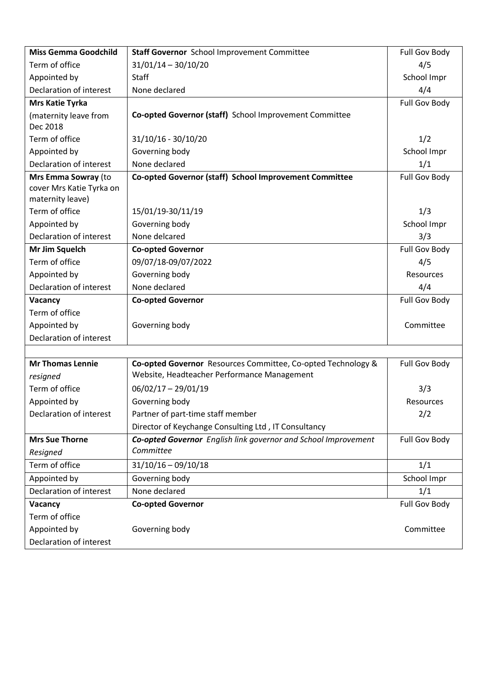| <b>Miss Gemma Goodchild</b> | <b>Staff Governor</b> School Improvement Committee                    | <b>Full Gov Body</b> |
|-----------------------------|-----------------------------------------------------------------------|----------------------|
| Term of office              | $31/01/14 - 30/10/20$                                                 | 4/5                  |
| Appointed by                | <b>Staff</b>                                                          | School Impr          |
| Declaration of interest     | None declared                                                         | 4/4                  |
| <b>Mrs Katie Tyrka</b>      |                                                                       | <b>Full Gov Body</b> |
| (maternity leave from       | Co-opted Governor (staff) School Improvement Committee                |                      |
| Dec 2018                    |                                                                       |                      |
| Term of office              | 31/10/16 - 30/10/20                                                   | 1/2                  |
| Appointed by                | Governing body                                                        | School Impr          |
| Declaration of interest     | None declared                                                         | 1/1                  |
| Mrs Emma Sowray (to         | Co-opted Governor (staff) School Improvement Committee                | <b>Full Gov Body</b> |
| cover Mrs Katie Tyrka on    |                                                                       |                      |
| maternity leave)            |                                                                       |                      |
| Term of office              | 15/01/19-30/11/19                                                     | 1/3                  |
| Appointed by                | Governing body                                                        | School Impr          |
| Declaration of interest     | None delcared                                                         | 3/3                  |
| Mr Jim Squelch              | <b>Co-opted Governor</b>                                              | Full Gov Body        |
| Term of office              | 09/07/18-09/07/2022                                                   | 4/5                  |
| Appointed by                | Governing body                                                        | <b>Resources</b>     |
| Declaration of interest     | None declared                                                         | 4/4                  |
| Vacancy                     | <b>Co-opted Governor</b>                                              | <b>Full Gov Body</b> |
|                             |                                                                       |                      |
| Term of office              |                                                                       |                      |
| Appointed by                | Governing body                                                        | Committee            |
| Declaration of interest     |                                                                       |                      |
|                             |                                                                       |                      |
| <b>Mr Thomas Lennie</b>     | Co-opted Governor Resources Committee, Co-opted Technology &          | <b>Full Gov Body</b> |
| resigned                    | Website, Headteacher Performance Management                           |                      |
| Term of office              | $06/02/17 - 29/01/19$                                                 | 3/3                  |
| Appointed by                | Governing body                                                        | Resources            |
| Declaration of interest     | Partner of part-time staff member                                     | 2/2                  |
|                             | Director of Keychange Consulting Ltd, IT Consultancy                  |                      |
| <b>Mrs Sue Thorne</b>       | <b>Co-opted Governor</b> English link governor and School Improvement | <b>Full Gov Body</b> |
| Resigned                    | Committee                                                             |                      |
| Term of office              | $31/10/16 - 09/10/18$                                                 | 1/1                  |
| Appointed by                | Governing body                                                        | School Impr          |
| Declaration of interest     | None declared                                                         | 1/1                  |
| Vacancy                     | <b>Co-opted Governor</b>                                              | Full Gov Body        |
| Term of office              |                                                                       |                      |
| Appointed by                | Governing body                                                        | Committee            |